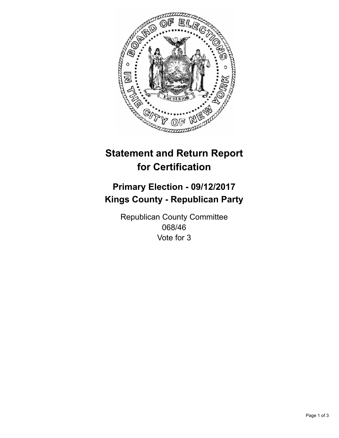

## **Statement and Return Report for Certification**

## **Primary Election - 09/12/2017 Kings County - Republican Party**

Republican County Committee 068/46 Vote for 3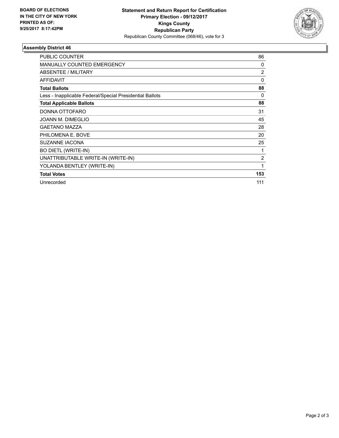

## **Assembly District 46**

| <b>PUBLIC COUNTER</b>                                    | 86             |
|----------------------------------------------------------|----------------|
| <b>MANUALLY COUNTED EMERGENCY</b>                        | 0              |
| ABSENTEE / MILITARY                                      | $\overline{2}$ |
| <b>AFFIDAVIT</b>                                         | $\Omega$       |
| <b>Total Ballots</b>                                     | 88             |
| Less - Inapplicable Federal/Special Presidential Ballots | 0              |
| <b>Total Applicable Ballots</b>                          | 88             |
| DONNA OTTOFARO                                           | 31             |
| JOANN M. DIMEGLIO                                        | 45             |
| <b>GAETANO MAZZA</b>                                     | 28             |
| PHILOMENA E. BOVE                                        | 20             |
| <b>SUZANNE IACONA</b>                                    | 25             |
| <b>BO DIETL (WRITE-IN)</b>                               | 1              |
| UNATTRIBUTABLE WRITE-IN (WRITE-IN)                       | $\overline{2}$ |
| YOLANDA BENTLEY (WRITE-IN)                               | 1              |
| <b>Total Votes</b>                                       | 153            |
| Unrecorded                                               | 111            |